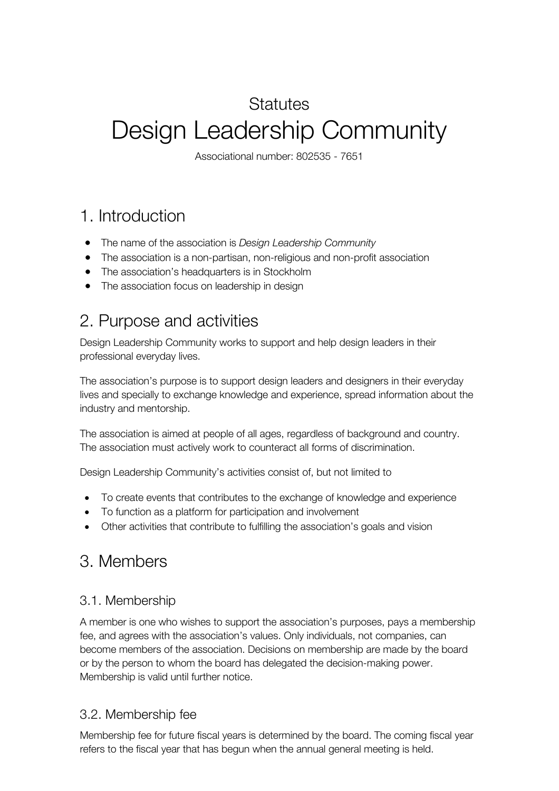# **Statutes** Design Leadership Community

Associational number: 802535 - 7651

### 1. Introduction

- The name of the association is *Design Leadership Community*
- The association is a non-partisan, non-religious and non-profit association
- The association's headquarters is in Stockholm
- The association focus on leadership in design

### 2. Purpose and activities

Design Leadership Community works to support and help design leaders in their professional everyday lives.

The association's purpose is to support design leaders and designers in their everyday lives and specially to exchange knowledge and experience, spread information about the industry and mentorship.

The association is aimed at people of all ages, regardless of background and country. The association must actively work to counteract all forms of discrimination.

Design Leadership Community's activities consist of, but not limited to

- To create events that contributes to the exchange of knowledge and experience
- To function as a platform for participation and involvement
- Other activities that contribute to fulfilling the association's goals and vision

### 3. Members

#### 3.1. Membership

A member is one who wishes to support the association's purposes, pays a membership fee, and agrees with the association's values. Only individuals, not companies, can become members of the association. Decisions on membership are made by the board or by the person to whom the board has delegated the decision-making power. Membership is valid until further notice.

#### 3.2. Membership fee

Membership fee for future fiscal years is determined by the board. The coming fiscal year refers to the fiscal year that has begun when the annual general meeting is held.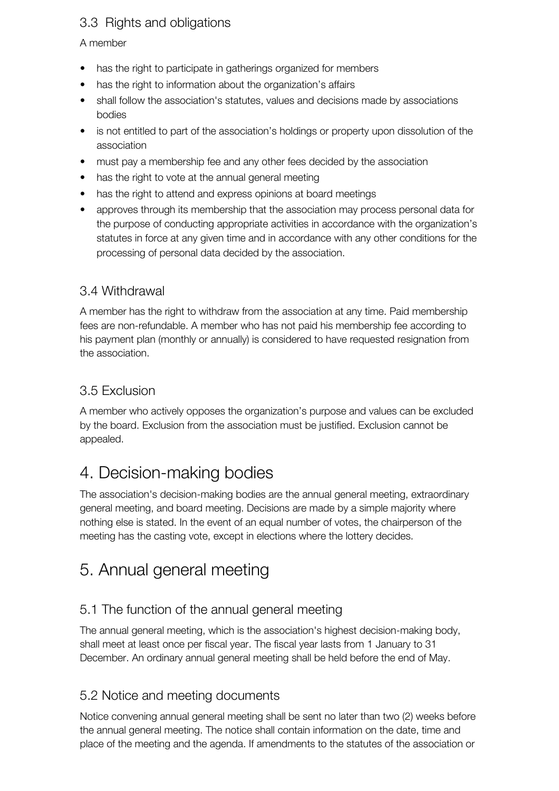#### 3.3 Rights and obligations

#### A member

- has the right to participate in gatherings organized for members
- has the right to information about the organization's affairs
- shall follow the association's statutes, values and decisions made by associations bodies
- is not entitled to part of the association's holdings or property upon dissolution of the association
- must pay a membership fee and any other fees decided by the association
- has the right to vote at the annual general meeting
- has the right to attend and express opinions at board meetings
- approves through its membership that the association may process personal data for the purpose of conducting appropriate activities in accordance with the organization's statutes in force at any given time and in accordance with any other conditions for the processing of personal data decided by the association.

#### 3.4 Withdrawal

A member has the right to withdraw from the association at any time. Paid membership fees are non-refundable. A member who has not paid his membership fee according to his payment plan (monthly or annually) is considered to have requested resignation from the association.

#### 3.5 Exclusion

A member who actively opposes the organization's purpose and values can be excluded by the board. Exclusion from the association must be justified. Exclusion cannot be appealed.

### 4. Decision-making bodies

The association's decision-making bodies are the annual general meeting, extraordinary general meeting, and board meeting. Decisions are made by a simple majority where nothing else is stated. In the event of an equal number of votes, the chairperson of the meeting has the casting vote, except in elections where the lottery decides.

### 5. Annual general meeting

#### 5.1 The function of the annual general meeting

The annual general meeting, which is the association's highest decision-making body, shall meet at least once per fiscal year. The fiscal year lasts from 1 January to 31 December. An ordinary annual general meeting shall be held before the end of May.

#### 5.2 Notice and meeting documents

Notice convening annual general meeting shall be sent no later than two (2) weeks before the annual general meeting. The notice shall contain information on the date, time and place of the meeting and the agenda. If amendments to the statutes of the association or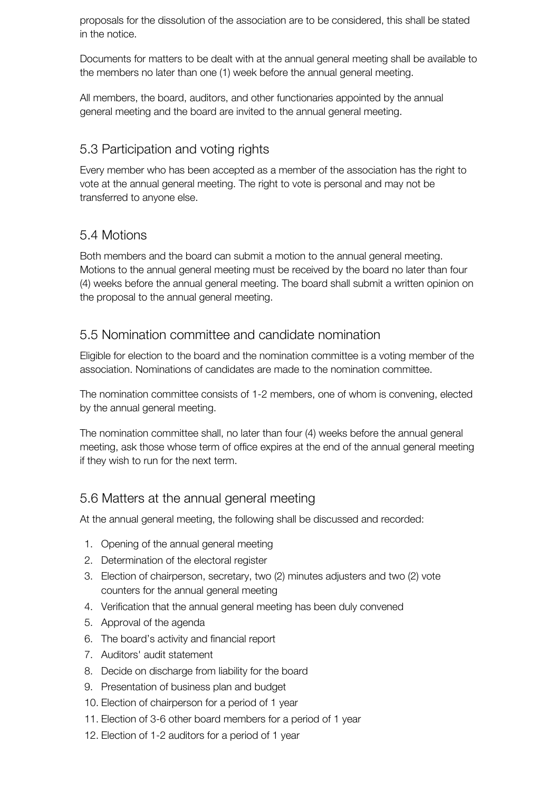proposals for the dissolution of the association are to be considered, this shall be stated in the notice.

Documents for matters to be dealt with at the annual general meeting shall be available to the members no later than one (1) week before the annual general meeting.

All members, the board, auditors, and other functionaries appointed by the annual general meeting and the board are invited to the annual general meeting.

#### 5.3 Participation and voting rights

Every member who has been accepted as a member of the association has the right to vote at the annual general meeting. The right to vote is personal and may not be transferred to anyone else.

#### 5.4 Motions

Both members and the board can submit a motion to the annual general meeting. Motions to the annual general meeting must be received by the board no later than four (4) weeks before the annual general meeting. The board shall submit a written opinion on the proposal to the annual general meeting.

#### 5.5 Nomination committee and candidate nomination

Eligible for election to the board and the nomination committee is a voting member of the association. Nominations of candidates are made to the nomination committee.

The nomination committee consists of 1-2 members, one of whom is convening, elected by the annual general meeting.

The nomination committee shall, no later than four (4) weeks before the annual general meeting, ask those whose term of office expires at the end of the annual general meeting if they wish to run for the next term.

#### 5.6 Matters at the annual general meeting

At the annual general meeting, the following shall be discussed and recorded:

- 1. Opening of the annual general meeting
- 2. Determination of the electoral register
- 3. Election of chairperson, secretary, two (2) minutes adjusters and two (2) vote counters for the annual general meeting
- 4. Verification that the annual general meeting has been duly convened
- 5. Approval of the agenda
- 6. The board's activity and financial report
- 7. Auditors' audit statement
- 8. Decide on discharge from liability for the board
- 9. Presentation of business plan and budget
- 10. Election of chairperson for a period of 1 year
- 11. Election of 3-6 other board members for a period of 1 year
- 12. Election of 1-2 auditors for a period of 1 year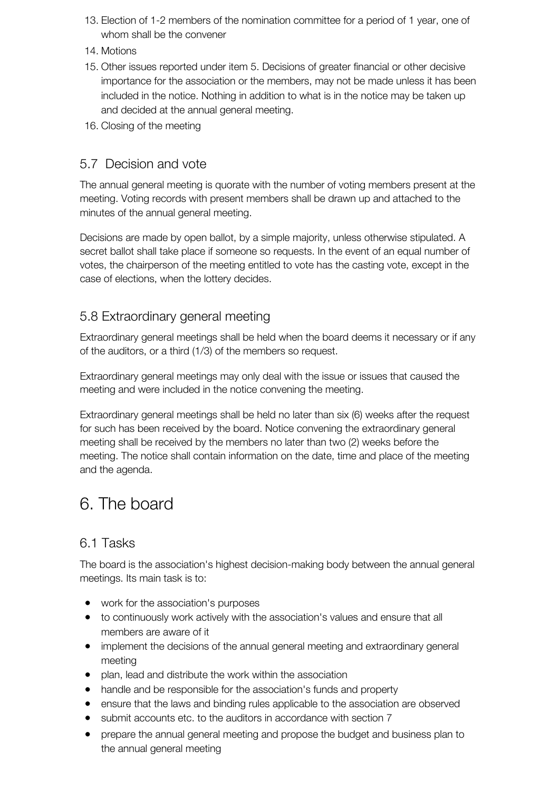- 13. Election of 1-2 members of the nomination committee for a period of 1 year, one of whom shall be the convener
- 14. Motions
- 15. Other issues reported under item 5. Decisions of greater financial or other decisive importance for the association or the members, may not be made unless it has been included in the notice. Nothing in addition to what is in the notice may be taken up and decided at the annual general meeting.
- 16. Closing of the meeting

#### 5.7 Decision and vote

The annual general meeting is quorate with the number of voting members present at the meeting. Voting records with present members shall be drawn up and attached to the minutes of the annual general meeting.

Decisions are made by open ballot, by a simple majority, unless otherwise stipulated. A secret ballot shall take place if someone so requests. In the event of an equal number of votes, the chairperson of the meeting entitled to vote has the casting vote, except in the case of elections, when the lottery decides.

#### 5.8 Extraordinary general meeting

Extraordinary general meetings shall be held when the board deems it necessary or if any of the auditors, or a third (1/3) of the members so request.

Extraordinary general meetings may only deal with the issue or issues that caused the meeting and were included in the notice convening the meeting.

Extraordinary general meetings shall be held no later than six (6) weeks after the request for such has been received by the board. Notice convening the extraordinary general meeting shall be received by the members no later than two (2) weeks before the meeting. The notice shall contain information on the date, time and place of the meeting and the agenda.

### 6. The board

#### 6.1 Tasks

The board is the association's highest decision-making body between the annual general meetings. Its main task is to:

- work for the association's purposes
- to continuously work actively with the association's values and ensure that all members are aware of it
- implement the decisions of the annual general meeting and extraordinary general meeting
- plan, lead and distribute the work within the association
- handle and be responsible for the association's funds and property
- ensure that the laws and binding rules applicable to the association are observed
- submit accounts etc. to the auditors in accordance with section 7
- prepare the annual general meeting and propose the budget and business plan to the annual general meeting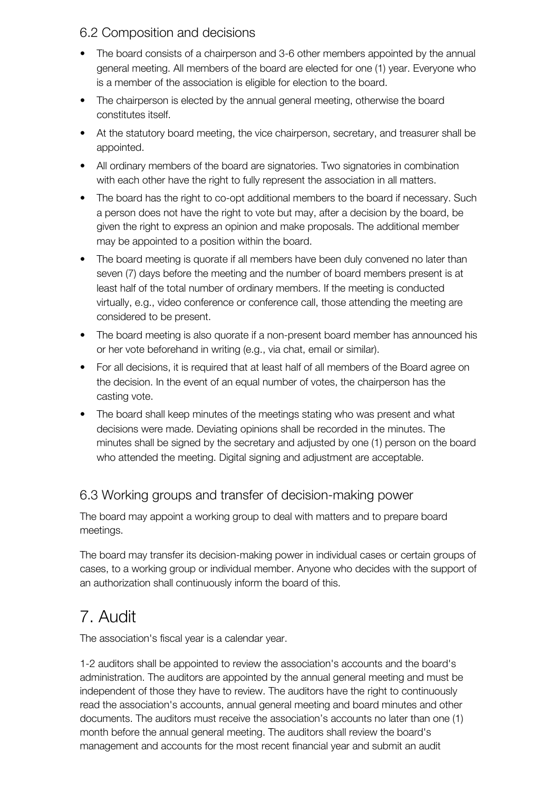#### 6.2 Composition and decisions

- The board consists of a chairperson and 3-6 other members appointed by the annual general meeting. All members of the board are elected for one (1) year. Everyone who is a member of the association is eligible for election to the board.
- The chairperson is elected by the annual general meeting, otherwise the board constitutes itself.
- At the statutory board meeting, the vice chairperson, secretary, and treasurer shall be appointed.
- All ordinary members of the board are signatories. Two signatories in combination with each other have the right to fully represent the association in all matters.
- The board has the right to co-opt additional members to the board if necessary. Such a person does not have the right to vote but may, after a decision by the board, be given the right to express an opinion and make proposals. The additional member may be appointed to a position within the board.
- The board meeting is quorate if all members have been duly convened no later than seven (7) days before the meeting and the number of board members present is at least half of the total number of ordinary members. If the meeting is conducted virtually, e.g., video conference or conference call, those attending the meeting are considered to be present.
- The board meeting is also quorate if a non-present board member has announced his or her vote beforehand in writing (e.g., via chat, email or similar).
- For all decisions, it is required that at least half of all members of the Board agree on the decision. In the event of an equal number of votes, the chairperson has the casting vote.
- The board shall keep minutes of the meetings stating who was present and what decisions were made. Deviating opinions shall be recorded in the minutes. The minutes shall be signed by the secretary and adjusted by one (1) person on the board who attended the meeting. Digital signing and adjustment are acceptable.

#### 6.3 Working groups and transfer of decision-making power

The board may appoint a working group to deal with matters and to prepare board meetings.

The board may transfer its decision-making power in individual cases or certain groups of cases, to a working group or individual member. Anyone who decides with the support of an authorization shall continuously inform the board of this.

## 7. Audit

The association's fiscal year is a calendar year.

1-2 auditors shall be appointed to review the association's accounts and the board's administration. The auditors are appointed by the annual general meeting and must be independent of those they have to review. The auditors have the right to continuously read the association's accounts, annual general meeting and board minutes and other documents. The auditors must receive the association's accounts no later than one (1) month before the annual general meeting. The auditors shall review the board's management and accounts for the most recent financial year and submit an audit